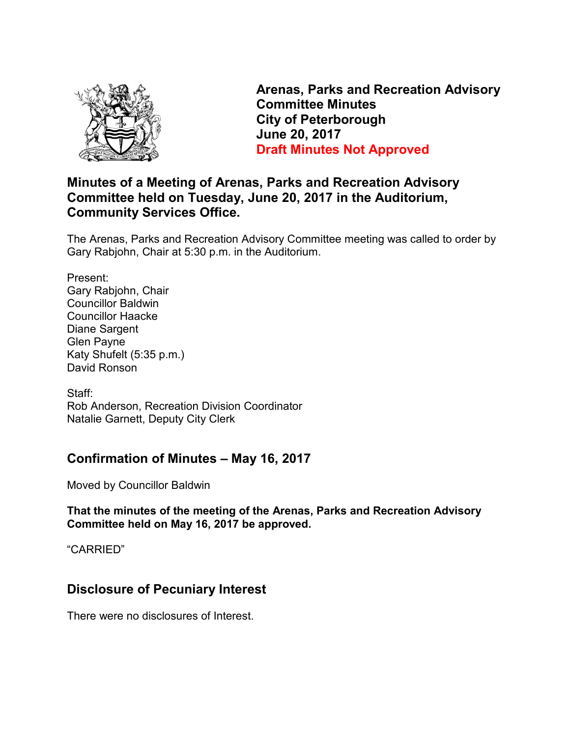

**Arenas, Parks and Recreation Advisory Committee Minutes City of Peterborough June 20, 2017 Draft Minutes Not Approved** 

# **Minutes of a Meeting of Arenas, Parks and Recreation Advisory Committee held on Tuesday, June 20, 2017 in the Auditorium, Community Services Office.**

The Arenas, Parks and Recreation Advisory Committee meeting was called to order by Gary Rabjohn, Chair at 5:30 p.m. in the Auditorium.

Present: Gary Rabjohn, Chair Councillor Baldwin Councillor Haacke Diane Sargent Glen Payne Katy Shufelt (5:35 p.m.) David Ronson

Staff: Rob Anderson, Recreation Division Coordinator Natalie Garnett, Deputy City Clerk

# **Confirmation of Minutes – May 16, 2017**

Moved by Councillor Baldwin

**That the minutes of the meeting of the Arenas, Parks and Recreation Advisory Committee held on May 16, 2017 be approved.** 

"CARRIED"

# **Disclosure of Pecuniary Interest**

There were no disclosures of Interest.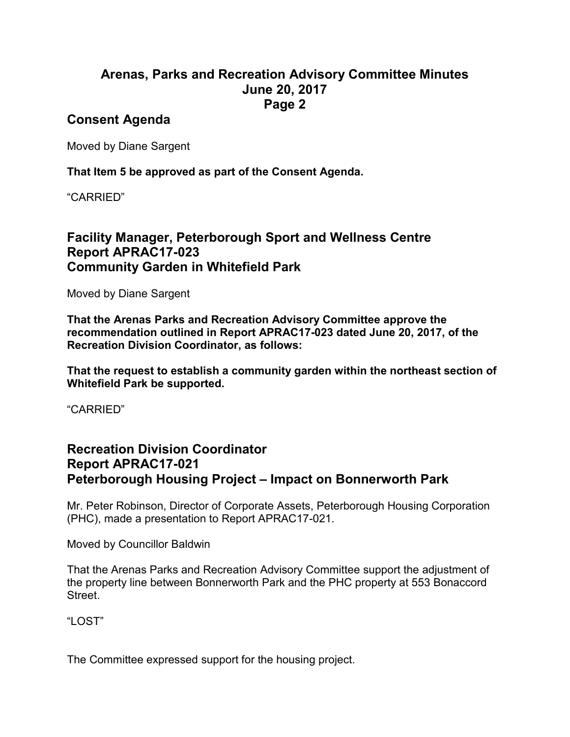### **Arenas, Parks and Recreation Advisory Committee Minutes June 20, 2017 Page 2**

### **Consent Agenda**

Moved by Diane Sargent

**That Item 5 be approved as part of the Consent Agenda.** 

"CARRIED"

# **Facility Manager, Peterborough Sport and Wellness Centre Report APRAC17-023 Community Garden in Whitefield Park**

Moved by Diane Sargent

**That the Arenas Parks and Recreation Advisory Committee approve the recommendation outlined in Report APRAC17-023 dated June 20, 2017, of the Recreation Division Coordinator, as follows:** 

**That the request to establish a community garden within the northeast section of Whitefield Park be supported.** 

"CARRIED"

# **Recreation Division Coordinator Report APRAC17-021 Peterborough Housing Project – Impact on Bonnerworth Park**

Mr. Peter Robinson, Director of Corporate Assets, Peterborough Housing Corporation (PHC), made a presentation to Report APRAC17-021.

Moved by Councillor Baldwin

That the Arenas Parks and Recreation Advisory Committee support the adjustment of the property line between Bonnerworth Park and the PHC property at 553 Bonaccord Street.

"LOST"

The Committee expressed support for the housing project.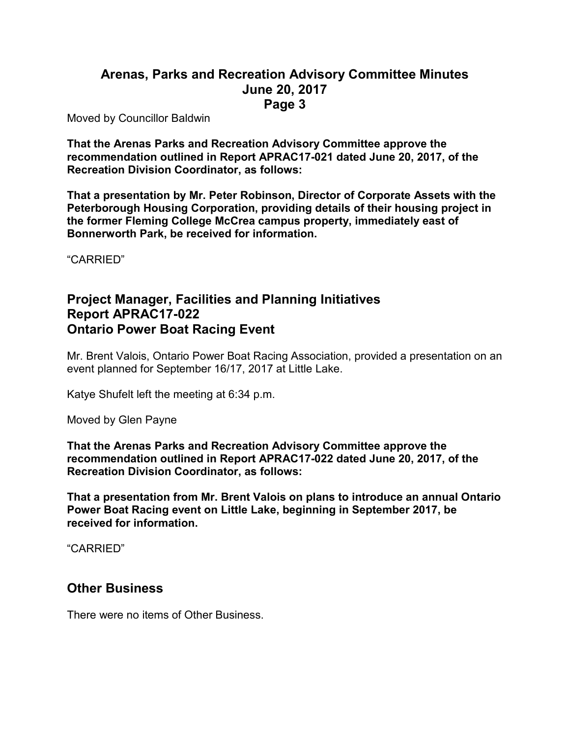#### **Arenas, Parks and Recreation Advisory Committee Minutes June 20, 2017 Page 3**

Moved by Councillor Baldwin

**That the Arenas Parks and Recreation Advisory Committee approve the recommendation outlined in Report APRAC17-021 dated June 20, 2017, of the Recreation Division Coordinator, as follows:** 

**That a presentation by Mr. Peter Robinson, Director of Corporate Assets with the Peterborough Housing Corporation, providing details of their housing project in the former Fleming College McCrea campus property, immediately east of Bonnerworth Park, be received for information.** 

"CARRIED"

### **Project Manager, Facilities and Planning Initiatives Report APRAC17-022 Ontario Power Boat Racing Event**

Mr. Brent Valois, Ontario Power Boat Racing Association, provided a presentation on an event planned for September 16/17, 2017 at Little Lake.

Katye Shufelt left the meeting at 6:34 p.m.

Moved by Glen Payne

**That the Arenas Parks and Recreation Advisory Committee approve the recommendation outlined in Report APRAC17-022 dated June 20, 2017, of the Recreation Division Coordinator, as follows:** 

**That a presentation from Mr. Brent Valois on plans to introduce an annual Ontario Power Boat Racing event on Little Lake, beginning in September 2017, be received for information.** 

"CARRIED"

#### **Other Business**

There were no items of Other Business.